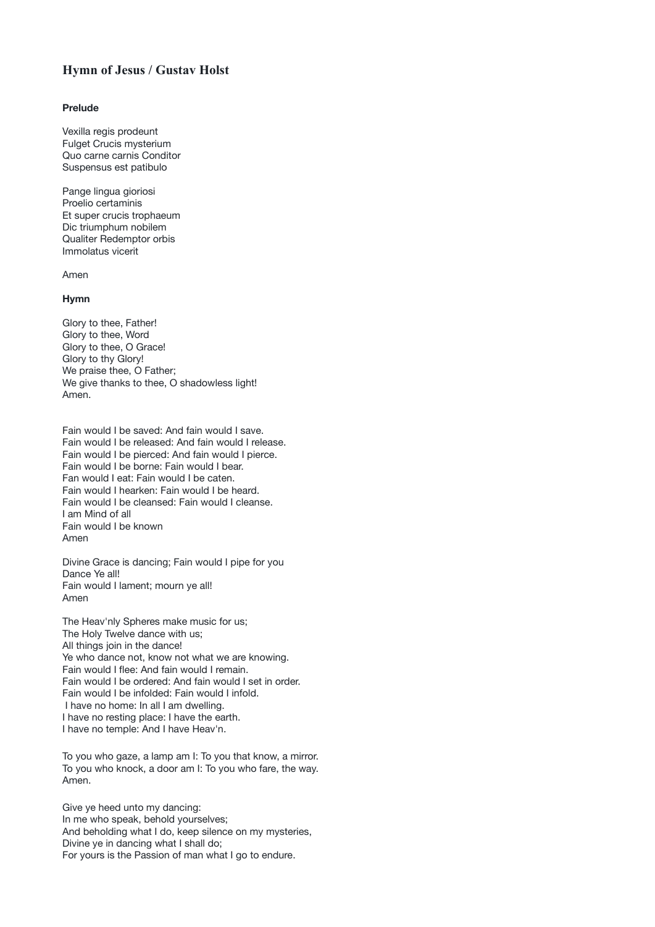## **Hymn of Jesus / Gustav Holst**

## **Prelude**

Vexilla regis prodeunt Fulget Crucis mysterium Quo carne carnis Conditor Suspensus est patibulo

Pange lingua gioriosi Proelio certaminis Et super crucis trophaeum Dic triumphum nobilem Qualiter Redemptor orbis Immolatus vicerit

Amen

## **Hymn**

Glory to thee, Father! Glory to thee, Word Glory to thee, O Grace! Glory to thy Glory! We praise thee, O Father; We give thanks to thee, O shadowless light! Amen.

Fain would I be saved: And fain would I save. Fain would I be released: And fain would I release. Fain would I be pierced: And fain would I pierce. Fain would I be borne: Fain would I bear. Fan would I eat: Fain would I be caten. Fain would I hearken: Fain would I be heard. Fain would I be cleansed: Fain would I cleanse. I am Mind of all Fain would I be known Amen

Divine Grace is dancing; Fain would I pipe for you Dance Ye all! Fain would I lament; mourn ye all! Amen

The Heav'nly Spheres make music for us; The Holy Twelve dance with us; All things join in the dance! Ye who dance not, know not what we are knowing. Fain would I flee: And fain would I remain. Fain would I be ordered: And fain would I set in order. Fain would I be infolded: Fain would I infold. I have no home: In all I am dwelling. I have no resting place: I have the earth. I have no temple: And I have Heav'n.

To you who gaze, a lamp am I: To you that know, a mirror. To you who knock, a door am I: To you who fare, the way. Amen.

Give ye heed unto my dancing: In me who speak, behold yourselves; And beholding what I do, keep silence on my mysteries, Divine ye in dancing what I shall do; For yours is the Passion of man what I go to endure.